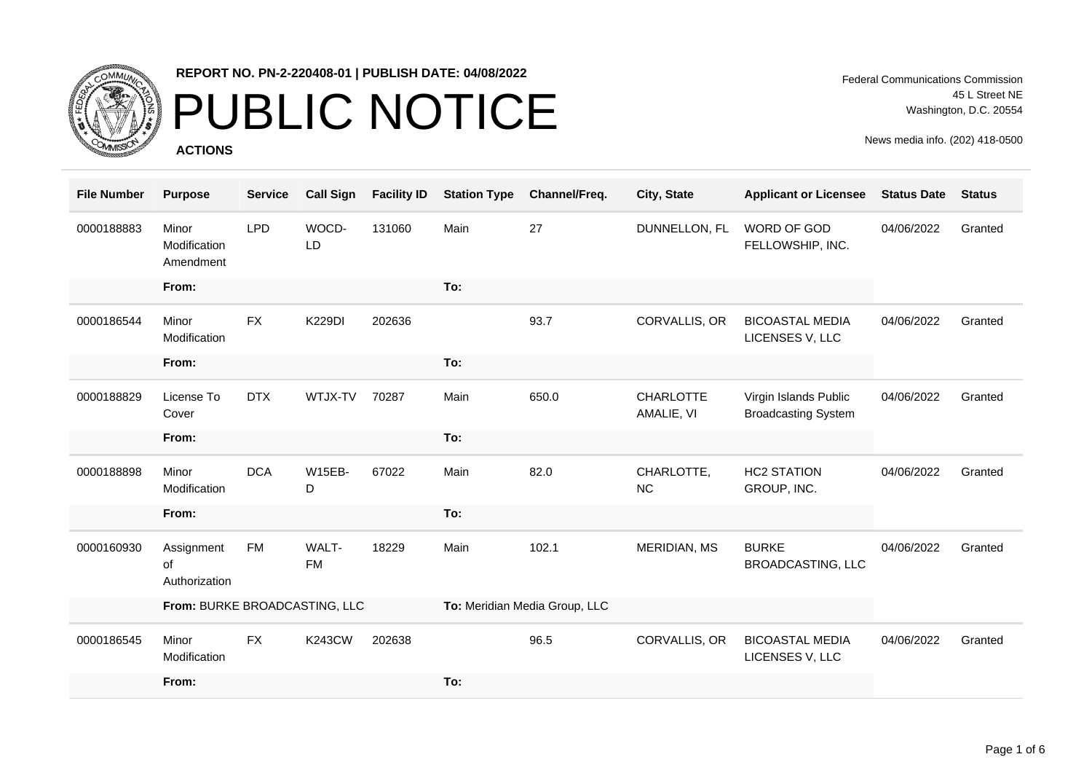

### PUBLIC NOTICE

**ACTIONS**

Federal Communications Commission 45 L Street NE Washington, D.C. 20554

| <b>File Number</b> | <b>Purpose</b>                           | <b>Service</b> | <b>Call Sign</b>   | <b>Facility ID</b> | <b>Station Type</b>           | Channel/Freq. | <b>City, State</b>             | <b>Applicant or Licensee</b>                        | <b>Status Date</b> | <b>Status</b> |
|--------------------|------------------------------------------|----------------|--------------------|--------------------|-------------------------------|---------------|--------------------------------|-----------------------------------------------------|--------------------|---------------|
| 0000188883         | Minor<br>Modification<br>Amendment       | <b>LPD</b>     | WOCD-<br>LD        | 131060             | Main                          | 27            | DUNNELLON, FL                  | <b>WORD OF GOD</b><br>FELLOWSHIP, INC.              | 04/06/2022         | Granted       |
|                    | From:                                    |                |                    |                    | To:                           |               |                                |                                                     |                    |               |
| 0000186544         | Minor<br>Modification                    | <b>FX</b>      | <b>K229DI</b>      | 202636             |                               | 93.7          | CORVALLIS, OR                  | <b>BICOASTAL MEDIA</b><br>LICENSES V, LLC           | 04/06/2022         | Granted       |
|                    | From:                                    |                |                    |                    | To:                           |               |                                |                                                     |                    |               |
| 0000188829         | License To<br>Cover                      | <b>DTX</b>     | WTJX-TV            | 70287              | Main                          | 650.0         | <b>CHARLOTTE</b><br>AMALIE, VI | Virgin Islands Public<br><b>Broadcasting System</b> | 04/06/2022         | Granted       |
|                    | From:                                    |                |                    |                    | To:                           |               |                                |                                                     |                    |               |
| 0000188898         | Minor<br>Modification                    | <b>DCA</b>     | <b>W15EB-</b><br>D | 67022              | Main                          | 82.0          | CHARLOTTE,<br>NC               | <b>HC2 STATION</b><br>GROUP, INC.                   | 04/06/2022         | Granted       |
|                    | From:                                    |                |                    |                    | To:                           |               |                                |                                                     |                    |               |
| 0000160930         | Assignment<br><b>of</b><br>Authorization | <b>FM</b>      | WALT-<br><b>FM</b> | 18229              | Main                          | 102.1         | MERIDIAN, MS                   | <b>BURKE</b><br><b>BROADCASTING, LLC</b>            | 04/06/2022         | Granted       |
|                    | From: BURKE BROADCASTING, LLC            |                |                    |                    | To: Meridian Media Group, LLC |               |                                |                                                     |                    |               |
| 0000186545         | Minor<br>Modification                    | <b>FX</b>      | <b>K243CW</b>      | 202638             |                               | 96.5          | CORVALLIS, OR                  | <b>BICOASTAL MEDIA</b><br>LICENSES V, LLC           | 04/06/2022         | Granted       |
|                    | From:                                    |                |                    |                    | To:                           |               |                                |                                                     |                    |               |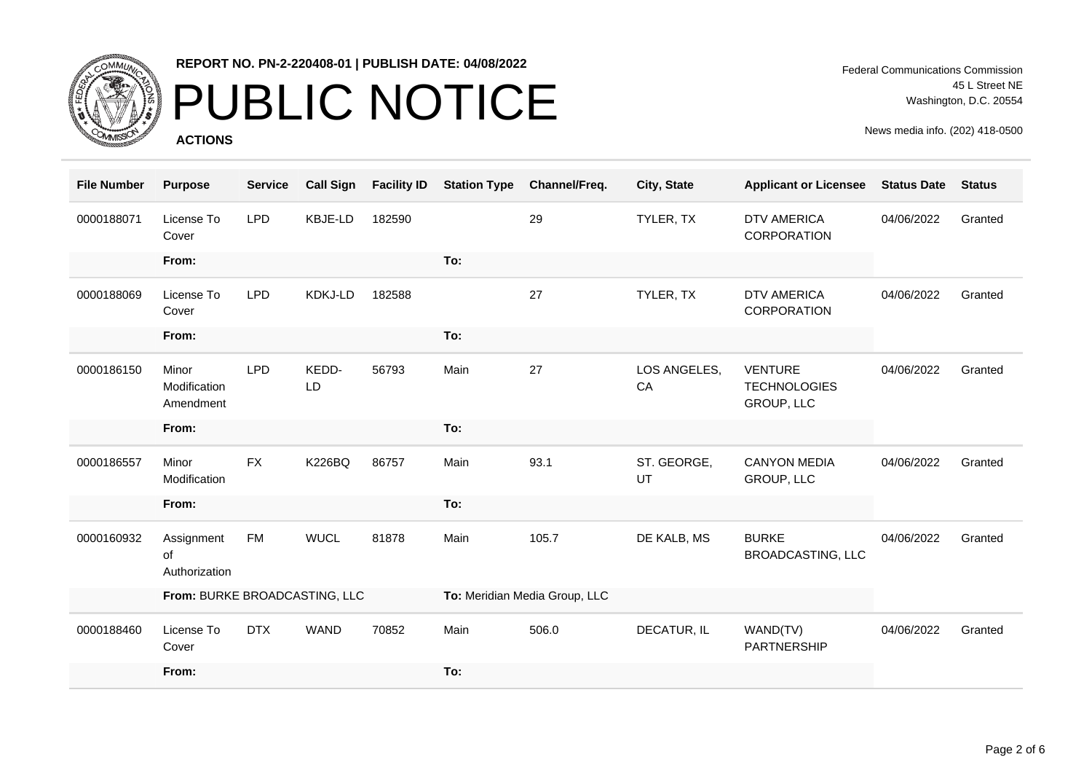

## PUBLIC NOTICE

**ACTIONS**

Federal Communications Commission 45 L Street NE Washington, D.C. 20554

| <b>File Number</b> | <b>Purpose</b>                     | <b>Service</b> | <b>Call Sign</b> | <b>Facility ID</b> | <b>Station Type</b>           | Channel/Freq. | City, State        | <b>Applicant or Licensee</b>                        | <b>Status Date</b> | <b>Status</b> |
|--------------------|------------------------------------|----------------|------------------|--------------------|-------------------------------|---------------|--------------------|-----------------------------------------------------|--------------------|---------------|
| 0000188071         | License To<br>Cover                | <b>LPD</b>     | KBJE-LD          | 182590             |                               | 29            | TYLER, TX          | <b>DTV AMERICA</b><br><b>CORPORATION</b>            | 04/06/2022         | Granted       |
|                    | From:                              |                |                  |                    | To:                           |               |                    |                                                     |                    |               |
| 0000188069         | License To<br>Cover                | <b>LPD</b>     | <b>KDKJ-LD</b>   | 182588             |                               | 27            | TYLER, TX          | <b>DTV AMERICA</b><br><b>CORPORATION</b>            | 04/06/2022         | Granted       |
|                    | From:                              |                |                  |                    | To:                           |               |                    |                                                     |                    |               |
| 0000186150         | Minor<br>Modification<br>Amendment | <b>LPD</b>     | KEDD-<br>LD      | 56793              | Main                          | 27            | LOS ANGELES,<br>CA | <b>VENTURE</b><br><b>TECHNOLOGIES</b><br>GROUP, LLC | 04/06/2022         | Granted       |
|                    | From:                              |                |                  |                    | To:                           |               |                    |                                                     |                    |               |
| 0000186557         | Minor<br>Modification              | <b>FX</b>      | <b>K226BQ</b>    | 86757              | Main                          | 93.1          | ST. GEORGE,<br>UT  | <b>CANYON MEDIA</b><br><b>GROUP, LLC</b>            | 04/06/2022         | Granted       |
|                    | From:                              |                |                  |                    | To:                           |               |                    |                                                     |                    |               |
| 0000160932         | Assignment<br>of<br>Authorization  | FM             | <b>WUCL</b>      | 81878              | Main                          | 105.7         | DE KALB, MS        | <b>BURKE</b><br><b>BROADCASTING, LLC</b>            | 04/06/2022         | Granted       |
|                    | From: BURKE BROADCASTING, LLC      |                |                  |                    | To: Meridian Media Group, LLC |               |                    |                                                     |                    |               |
| 0000188460         | License To<br>Cover                | <b>DTX</b>     | <b>WAND</b>      | 70852              | Main                          | 506.0         | DECATUR, IL        | WAND(TV)<br><b>PARTNERSHIP</b>                      | 04/06/2022         | Granted       |
|                    | From:                              |                |                  |                    | To:                           |               |                    |                                                     |                    |               |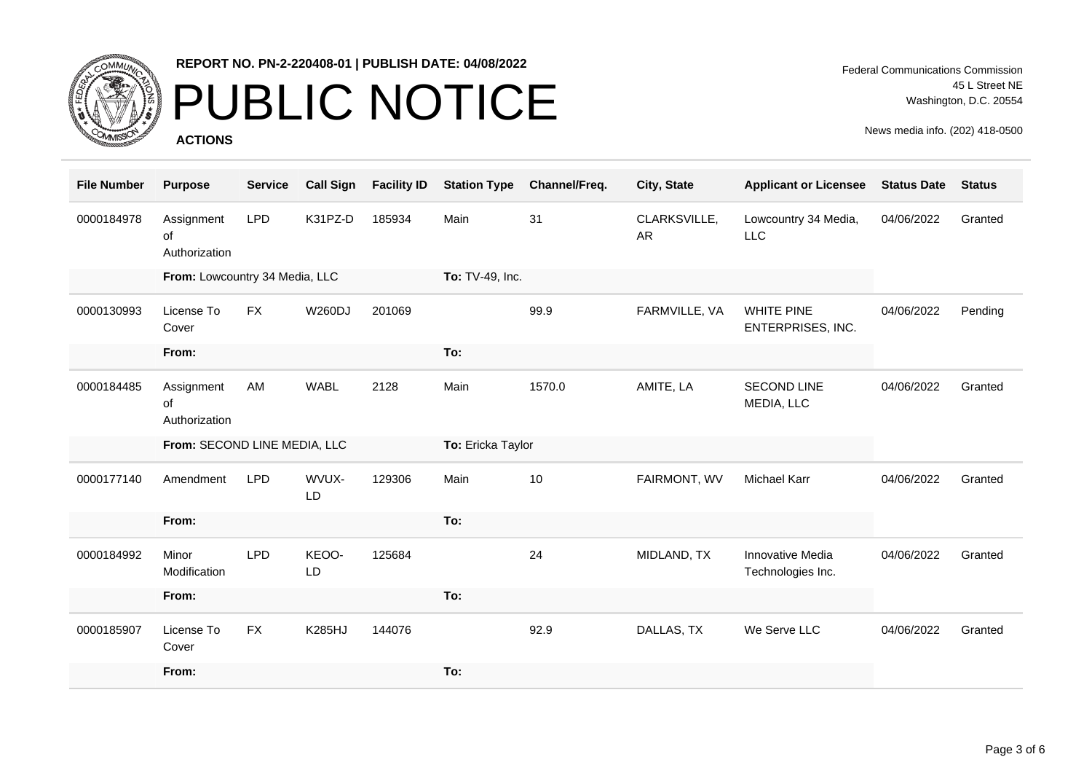

## PUBLIC NOTICE

**ACTIONS**

Federal Communications Commission 45 L Street NE Washington, D.C. 20554

| <b>File Number</b> | <b>Purpose</b>                    | <b>Service</b> | <b>Call Sign</b> | <b>Facility ID</b> | <b>Station Type</b> | Channel/Freq. | City, State               | <b>Applicant or Licensee</b>           | <b>Status Date</b> | <b>Status</b> |
|--------------------|-----------------------------------|----------------|------------------|--------------------|---------------------|---------------|---------------------------|----------------------------------------|--------------------|---------------|
| 0000184978         | Assignment<br>of<br>Authorization | <b>LPD</b>     | K31PZ-D          | 185934             | Main                | 31            | CLARKSVILLE,<br><b>AR</b> | Lowcountry 34 Media,<br><b>LLC</b>     | 04/06/2022         | Granted       |
|                    | From: Lowcountry 34 Media, LLC    |                |                  |                    | To: TV-49, Inc.     |               |                           |                                        |                    |               |
| 0000130993         | License To<br>Cover               | <b>FX</b>      | <b>W260DJ</b>    | 201069             |                     | 99.9          | FARMVILLE, VA             | <b>WHITE PINE</b><br>ENTERPRISES, INC. | 04/06/2022         | Pending       |
|                    | From:                             |                |                  |                    | To:                 |               |                           |                                        |                    |               |
| 0000184485         | Assignment<br>of<br>Authorization | AM             | <b>WABL</b>      | 2128               | Main                | 1570.0        | AMITE, LA                 | <b>SECOND LINE</b><br>MEDIA, LLC       | 04/06/2022         | Granted       |
|                    | From: SECOND LINE MEDIA, LLC      |                |                  |                    | To: Ericka Taylor   |               |                           |                                        |                    |               |
|                    |                                   |                |                  |                    |                     |               |                           |                                        |                    |               |
| 0000177140         | Amendment                         | <b>LPD</b>     | WVUX-<br>LD      | 129306             | Main                | 10            | FAIRMONT, WV              | <b>Michael Karr</b>                    | 04/06/2022         | Granted       |
|                    | From:                             |                |                  |                    | To:                 |               |                           |                                        |                    |               |
| 0000184992         | Minor<br>Modification             | <b>LPD</b>     | KEOO-<br>LD      | 125684             |                     | 24            | MIDLAND, TX               | Innovative Media<br>Technologies Inc.  | 04/06/2022         | Granted       |
|                    | From:                             |                |                  |                    | To:                 |               |                           |                                        |                    |               |
| 0000185907         | License To<br>Cover               | <b>FX</b>      | <b>K285HJ</b>    | 144076             |                     | 92.9          | DALLAS, TX                | We Serve LLC                           | 04/06/2022         | Granted       |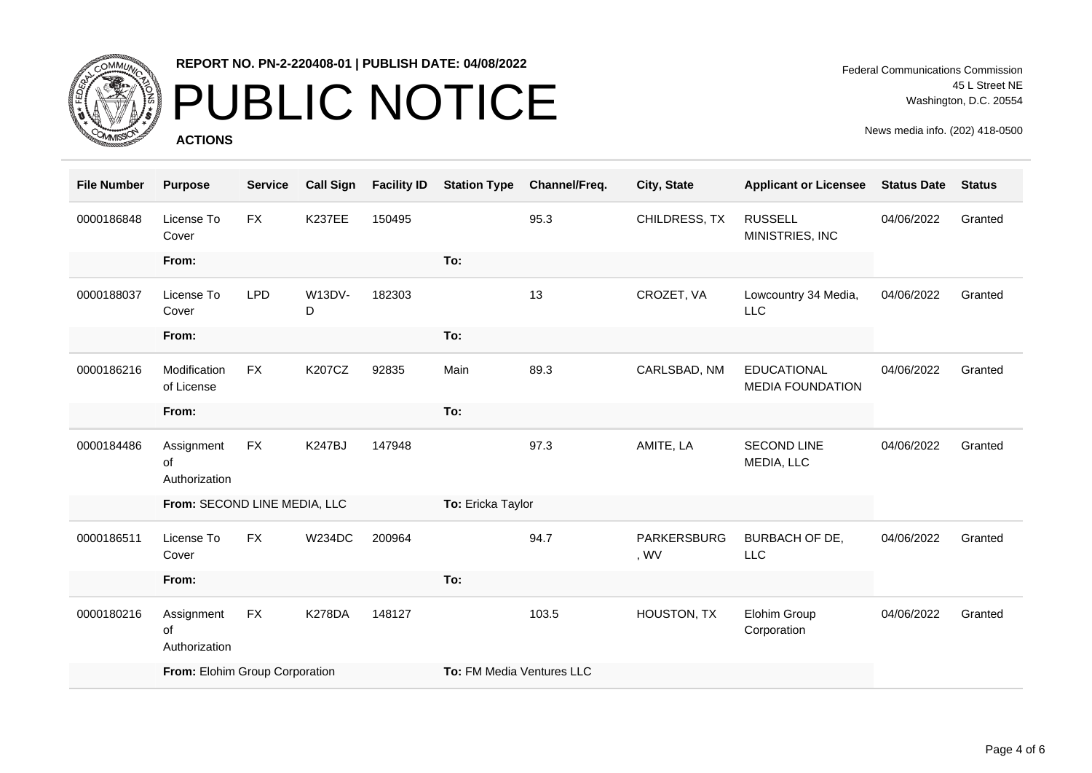

# PUBLIC NOTICE

**ACTIONS**

Federal Communications Commission 45 L Street NE Washington, D.C. 20554

| <b>File Number</b> | <b>Purpose</b>                    | <b>Service</b> | <b>Call Sign</b>   | <b>Facility ID</b> | <b>Station Type</b>       | Channel/Freq. | City, State                | <b>Applicant or Licensee</b>                  | <b>Status Date</b> | <b>Status</b> |
|--------------------|-----------------------------------|----------------|--------------------|--------------------|---------------------------|---------------|----------------------------|-----------------------------------------------|--------------------|---------------|
| 0000186848         | License To<br>Cover               | <b>FX</b>      | <b>K237EE</b>      | 150495             |                           | 95.3          | CHILDRESS, TX              | <b>RUSSELL</b><br>MINISTRIES, INC             | 04/06/2022         | Granted       |
|                    | From:                             |                |                    |                    | To:                       |               |                            |                                               |                    |               |
| 0000188037         | License To<br>Cover               | <b>LPD</b>     | <b>W13DV-</b><br>D | 182303             |                           | 13            | CROZET, VA                 | Lowcountry 34 Media,<br><b>LLC</b>            | 04/06/2022         | Granted       |
|                    | From:                             |                |                    |                    | To:                       |               |                            |                                               |                    |               |
| 0000186216         | Modification<br>of License        | <b>FX</b>      | <b>K207CZ</b>      | 92835              | Main                      | 89.3          | CARLSBAD, NM               | <b>EDUCATIONAL</b><br><b>MEDIA FOUNDATION</b> | 04/06/2022         | Granted       |
|                    | From:                             |                |                    |                    | To:                       |               |                            |                                               |                    |               |
| 0000184486         | Assignment<br>of<br>Authorization | <b>FX</b>      | <b>K247BJ</b>      | 147948             |                           | 97.3          | AMITE, LA                  | <b>SECOND LINE</b><br>MEDIA, LLC              | 04/06/2022         | Granted       |
|                    | From: SECOND LINE MEDIA, LLC      |                |                    |                    | To: Ericka Taylor         |               |                            |                                               |                    |               |
| 0000186511         | License To<br>Cover               | <b>FX</b>      | <b>W234DC</b>      | 200964             |                           | 94.7          | <b>PARKERSBURG</b><br>, WV | <b>BURBACH OF DE,</b><br><b>LLC</b>           | 04/06/2022         | Granted       |
|                    | From:                             |                |                    |                    | To:                       |               |                            |                                               |                    |               |
| 0000180216         | Assignment<br>of<br>Authorization | <b>FX</b>      | <b>K278DA</b>      | 148127             |                           | 103.5         | HOUSTON, TX                | Elohim Group<br>Corporation                   | 04/06/2022         | Granted       |
|                    | From: Elohim Group Corporation    |                |                    |                    | To: FM Media Ventures LLC |               |                            |                                               |                    |               |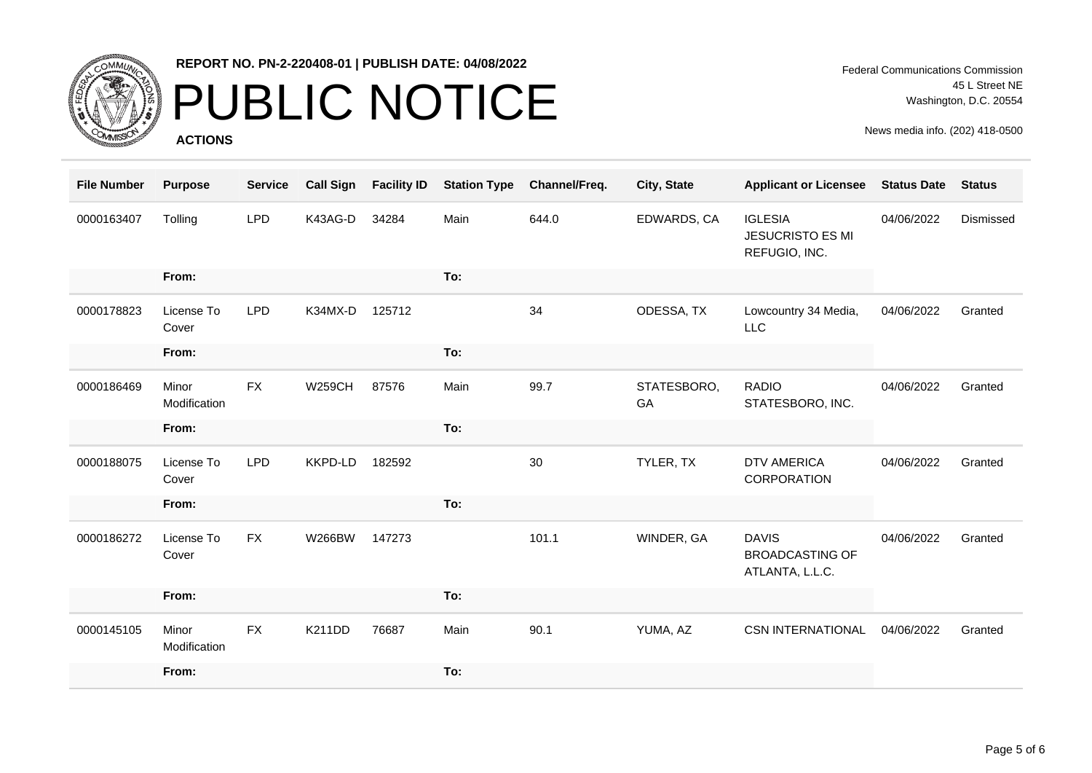

# PUBLIC NOTICE

**ACTIONS**

| <b>File Number</b> | <b>Purpose</b>        | <b>Service</b> | <b>Call Sign</b> | <b>Facility ID</b> | <b>Station Type</b> | Channel/Freq. | City, State       | <b>Applicant or Licensee</b>                               | <b>Status Date</b> | <b>Status</b> |
|--------------------|-----------------------|----------------|------------------|--------------------|---------------------|---------------|-------------------|------------------------------------------------------------|--------------------|---------------|
| 0000163407         | Tolling               | <b>LPD</b>     | K43AG-D          | 34284              | Main                | 644.0         | EDWARDS, CA       | <b>IGLESIA</b><br><b>JESUCRISTO ES MI</b><br>REFUGIO, INC. | 04/06/2022         | Dismissed     |
|                    | From:                 |                |                  |                    | To:                 |               |                   |                                                            |                    |               |
| 0000178823         | License To<br>Cover   | <b>LPD</b>     | K34MX-D          | 125712             |                     | 34            | ODESSA, TX        | Lowcountry 34 Media,<br><b>LLC</b>                         | 04/06/2022         | Granted       |
|                    | From:                 |                |                  |                    | To:                 |               |                   |                                                            |                    |               |
| 0000186469         | Minor<br>Modification | <b>FX</b>      | <b>W259CH</b>    | 87576              | Main                | 99.7          | STATESBORO,<br>GA | <b>RADIO</b><br>STATESBORO, INC.                           | 04/06/2022         | Granted       |
|                    | From:                 |                |                  |                    | To:                 |               |                   |                                                            |                    |               |
| 0000188075         | License To<br>Cover   | <b>LPD</b>     | KKPD-LD          | 182592             |                     | 30            | TYLER, TX         | <b>DTV AMERICA</b><br>CORPORATION                          | 04/06/2022         | Granted       |
|                    | From:                 |                |                  |                    | To:                 |               |                   |                                                            |                    |               |
| 0000186272         | License To<br>Cover   | <b>FX</b>      | <b>W266BW</b>    | 147273             |                     | 101.1         | WINDER, GA        | <b>DAVIS</b><br><b>BROADCASTING OF</b><br>ATLANTA, L.L.C.  | 04/06/2022         | Granted       |
|                    | From:                 |                |                  |                    | To:                 |               |                   |                                                            |                    |               |
| 0000145105         | Minor<br>Modification | <b>FX</b>      | K211DD           | 76687              | Main                | 90.1          | YUMA, AZ          | <b>CSN INTERNATIONAL</b>                                   | 04/06/2022         | Granted       |
|                    | From:                 |                |                  |                    | To:                 |               |                   |                                                            |                    |               |